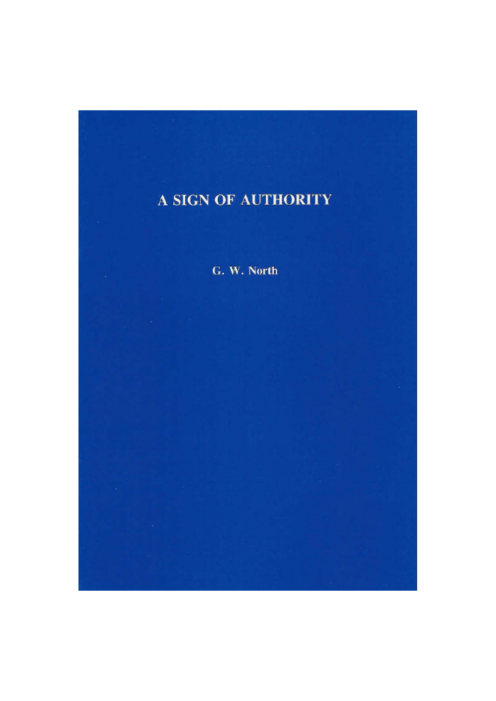# A SIGN OF AUTHORITY

G. W. North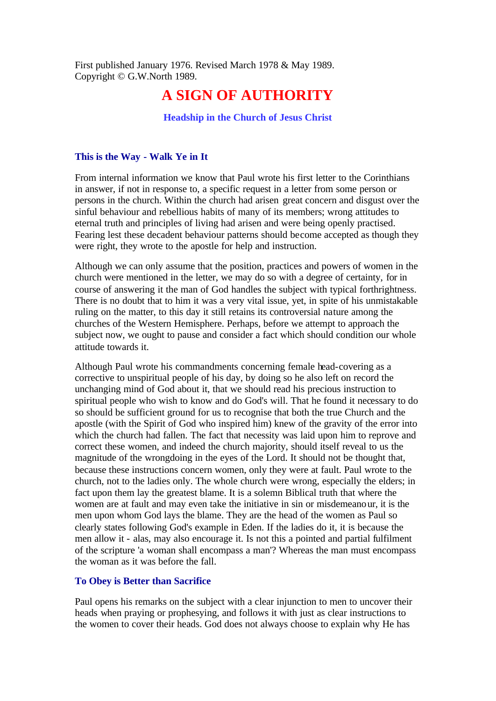First published January 1976. Revised March 1978 & May 1989. Copyright © G.W.North 1989.

# **A SIGN OF AUTHORITY**

# **Headship in the Church of Jesus Christ**

#### **This is the Way - Walk Ye in It**

From internal information we know that Paul wrote his first letter to the Corinthians in answer, if not in response to, a specific request in a letter from some person or persons in the church. Within the church had arisen great concern and disgust over the sinful behaviour and rebellious habits of many of its members; wrong attitudes to eternal truth and principles of living had arisen and were being openly practised. Fearing lest these decadent behaviour patterns should become accepted as though they were right, they wrote to the apostle for help and instruction.

Although we can only assume that the position, practices and powers of women in the church were mentioned in the letter, we may do so with a degree of certainty, for in course of answering it the man of God handles the subject with typical forthrightness. There is no doubt that to him it was a very vital issue, yet, in spite of his unmistakable ruling on the matter, to this day it still retains its controversial nature among the churches of the Western Hemisphere. Perhaps, before we attempt to approach the subject now, we ought to pause and consider a fact which should condition our whole attitude towards it.

Although Paul wrote his commandments concerning female head-covering as a corrective to unspiritual people of his day, by doing so he also left on record the unchanging mind of God about it, that we should read his precious instruction to spiritual people who wish to know and do God's will. That he found it necessary to do so should be sufficient ground for us to recognise that both the true Church and the apostle (with the Spirit of God who inspired him) knew of the gravity of the error into which the church had fallen. The fact that necessity was laid upon him to reprove and correct these women, and indeed the church majority, should itself reveal to us the magnitude of the wrongdoing in the eyes of the Lord. It should not be thought that, because these instructions concern women, only they were at fault. Paul wrote to the church, not to the ladies only. The whole church were wrong, especially the elders; in fact upon them lay the greatest blame. It is a solemn Biblical truth that where the women are at fault and may even take the initiative in sin or misdemeanour, it is the men upon whom God lays the blame. They are the head of the women as Paul so clearly states following God's example in Eden. If the ladies do it, it is because the men allow it - alas, may also encourage it. Is not this a pointed and partial fulfilment of the scripture 'a woman shall encompass a man'? Whereas the man must encompass the woman as it was before the fall.

#### **To Obey is Better than Sacrifice**

Paul opens his remarks on the subject with a clear injunction to men to uncover their heads when praying or prophesying, and follows it with just as clear instructions to the women to cover their heads. God does not always choose to explain why He has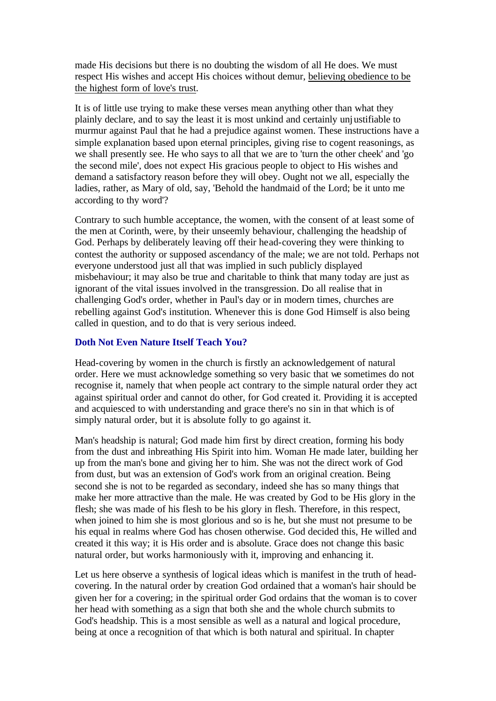made His decisions but there is no doubting the wisdom of all He does. We must respect His wishes and accept His choices without demur, believing obedience to be the highest form of love's trust.

It is of little use trying to make these verses mean anything other than what they plainly declare, and to say the least it is most unkind and certainly unjustifiable to murmur against Paul that he had a prejudice against women. These instructions have a simple explanation based upon eternal principles, giving rise to cogent reasonings, as we shall presently see. He who says to all that we are to 'turn the other cheek' and 'go the second mile', does not expect His gracious people to object to His wishes and demand a satisfactory reason before they will obey. Ought not we all, especially the ladies, rather, as Mary of old, say, 'Behold the handmaid of the Lord; be it unto me according to thy word'?

Contrary to such humble acceptance, the women, with the consent of at least some of the men at Corinth, were, by their unseemly behaviour, challenging the headship of God. Perhaps by deliberately leaving off their head-covering they were thinking to contest the authority or supposed ascendancy of the male; we are not told. Perhaps not everyone understood just all that was implied in such publicly displayed misbehaviour; it may also be true and charitable to think that many today are just as ignorant of the vital issues involved in the transgression. Do all realise that in challenging God's order, whether in Paul's day or in modern times, churches are rebelling against God's institution. Whenever this is done God Himself is also being called in question, and to do that is very serious indeed.

# **Doth Not Even Nature Itself Teach You?**

Head-covering by women in the church is firstly an acknowledgement of natural order. Here we must acknowledge something so very basic that we sometimes do not recognise it, namely that when people act contrary to the simple natural order they act against spiritual order and cannot do other, for God created it. Providing it is accepted and acquiesced to with understanding and grace there's no sin in that which is of simply natural order, but it is absolute folly to go against it.

Man's headship is natural; God made him first by direct creation, forming his body from the dust and inbreathing His Spirit into him. Woman He made later, building her up from the man's bone and giving her to him. She was not the direct work of God from dust, but was an extension of God's work from an original creation. Being second she is not to be regarded as secondary, indeed she has so many things that make her more attractive than the male. He was created by God to be His glory in the flesh; she was made of his flesh to be his glory in flesh. Therefore, in this respect, when joined to him she is most glorious and so is he, but she must not presume to be his equal in realms where God has chosen otherwise. God decided this, He willed and created it this way; it is His order and is absolute. Grace does not change this basic natural order, but works harmoniously with it, improving and enhancing it.

Let us here observe a synthesis of logical ideas which is manifest in the truth of headcovering. In the natural order by creation God ordained that a woman's hair should be given her for a covering; in the spiritual order God ordains that the woman is to cover her head with something as a sign that both she and the whole church submits to God's headship. This is a most sensible as well as a natural and logical procedure, being at once a recognition of that which is both natural and spiritual. In chapter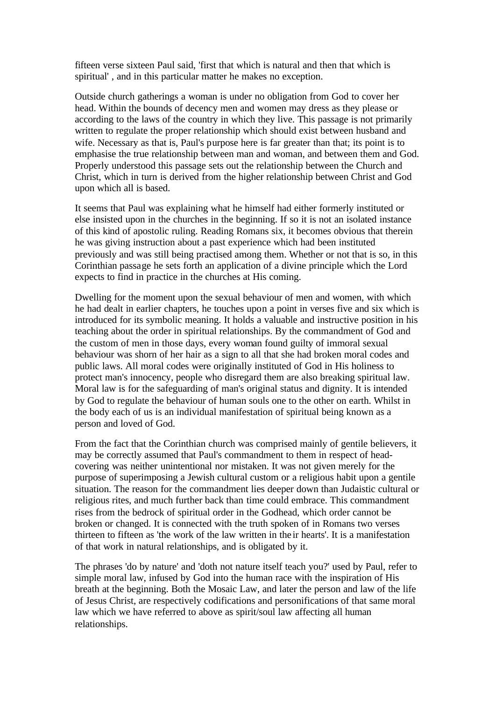fifteen verse sixteen Paul said, 'first that which is natural and then that which is spiritual' , and in this particular matter he makes no exception.

Outside church gatherings a woman is under no obligation from God to cover her head. Within the bounds of decency men and women may dress as they please or according to the laws of the country in which they live. This passage is not primarily written to regulate the proper relationship which should exist between husband and wife. Necessary as that is, Paul's purpose here is far greater than that; its point is to emphasise the true relationship between man and woman, and between them and God. Properly understood this passage sets out the relationship between the Church and Christ, which in turn is derived from the higher relationship between Christ and God upon which all is based.

It seems that Paul was explaining what he himself had either formerly instituted or else insisted upon in the churches in the beginning. If so it is not an isolated instance of this kind of apostolic ruling. Reading Romans six, it becomes obvious that therein he was giving instruction about a past experience which had been instituted previously and was still being practised among them. Whether or not that is so, in this Corinthian passage he sets forth an application of a divine principle which the Lord expects to find in practice in the churches at His coming.

Dwelling for the moment upon the sexual behaviour of men and women, with which he had dealt in earlier chapters, he touches upon a point in verses five and six which is introduced for its symbolic meaning. It holds a valuable and instructive position in his teaching about the order in spiritual relationships. By the commandment of God and the custom of men in those days, every woman found guilty of immoral sexual behaviour was shorn of her hair as a sign to all that she had broken moral codes and public laws. All moral codes were originally instituted of God in His holiness to protect man's innocency, people who disregard them are also breaking spiritual law. Moral law is for the safeguarding of man's original status and dignity. It is intended by God to regulate the behaviour of human souls one to the other on earth. Whilst in the body each of us is an individual manifestation of spiritual being known as a person and loved of God.

From the fact that the Corinthian church was comprised mainly of gentile believers, it may be correctly assumed that Paul's commandment to them in respect of headcovering was neither unintentional nor mistaken. It was not given merely for the purpose of superimposing a Jewish cultural custom or a religious habit upon a gentile situation. The reason for the commandment lies deeper down than Judaistic cultural or religious rites, and much further back than time could embrace. This commandment rises from the bedrock of spiritual order in the Godhead, which order cannot be broken or changed. It is connected with the truth spoken of in Romans two verses thirteen to fifteen as 'the work of the law written in the ir hearts'. It is a manifestation of that work in natural relationships, and is obligated by it.

The phrases 'do by nature' and 'doth not nature itself teach you?' used by Paul, refer to simple moral law, infused by God into the human race with the inspiration of His breath at the beginning. Both the Mosaic Law, and later the person and law of the life of Jesus Christ, are respectively codifications and personifications of that same moral law which we have referred to above as spirit/soul law affecting all human relationships.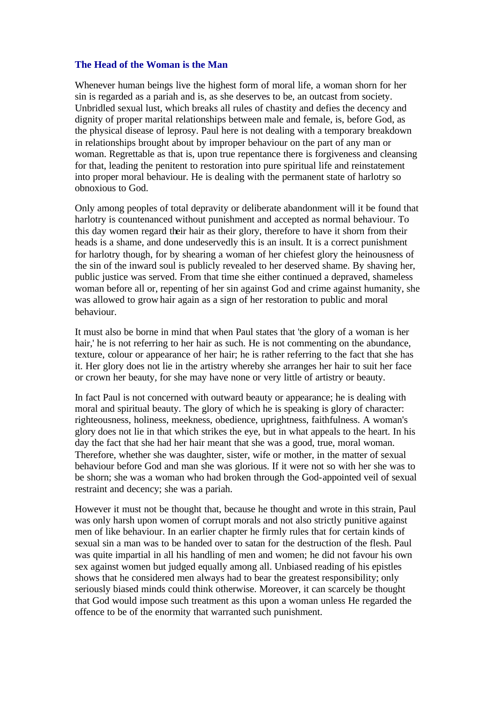#### **The Head of the Woman is the Man**

Whenever human beings live the highest form of moral life, a woman shorn for her sin is regarded as a pariah and is, as she deserves to be, an outcast from society. Unbridled sexual lust, which breaks all rules of chastity and defies the decency and dignity of proper marital relationships between male and female, is, before God, as the physical disease of leprosy. Paul here is not dealing with a temporary breakdown in relationships brought about by improper behaviour on the part of any man or woman. Regrettable as that is, upon true repentance there is forgiveness and cleansing for that, leading the penitent to restoration into pure spiritual life and reinstatement into proper moral behaviour. He is dealing with the permanent state of harlotry so obnoxious to God.

Only among peoples of total depravity or deliberate abandonment will it be found that harlotry is countenanced without punishment and accepted as normal behaviour. To this day women regard their hair as their glory, therefore to have it shorn from their heads is a shame, and done undeservedly this is an insult. It is a correct punishment for harlotry though, for by shearing a woman of her chiefest glory the heinousness of the sin of the inward soul is publicly revealed to her deserved shame. By shaving her, public justice was served. From that time she either continued a depraved, shameless woman before all or, repenting of her sin against God and crime against humanity, she was allowed to grow hair again as a sign of her restoration to public and moral behaviour.

It must also be borne in mind that when Paul states that 'the glory of a woman is her hair,' he is not referring to her hair as such. He is not commenting on the abundance, texture, colour or appearance of her hair; he is rather referring to the fact that she has it. Her glory does not lie in the artistry whereby she arranges her hair to suit her face or crown her beauty, for she may have none or very little of artistry or beauty.

In fact Paul is not concerned with outward beauty or appearance; he is dealing with moral and spiritual beauty. The glory of which he is speaking is glory of character: righteousness, holiness, meekness, obedience, uprightness, faithfulness. A woman's glory does not lie in that which strikes the eye, but in what appeals to the heart. In his day the fact that she had her hair meant that she was a good, true, moral woman. Therefore, whether she was daughter, sister, wife or mother, in the matter of sexual behaviour before God and man she was glorious. If it were not so with her she was to be shorn; she was a woman who had broken through the God-appointed veil of sexual restraint and decency; she was a pariah.

However it must not be thought that, because he thought and wrote in this strain, Paul was only harsh upon women of corrupt morals and not also strictly punitive against men of like behaviour. In an earlier chapter he firmly rules that for certain kinds of sexual sin a man was to be handed over to satan for the destruction of the flesh. Paul was quite impartial in all his handling of men and women; he did not favour his own sex against women but judged equally among all. Unbiased reading of his epistles shows that he considered men always had to bear the greatest responsibility; only seriously biased minds could think otherwise. Moreover, it can scarcely be thought that God would impose such treatment as this upon a woman unless He regarded the offence to be of the enormity that warranted such punishment.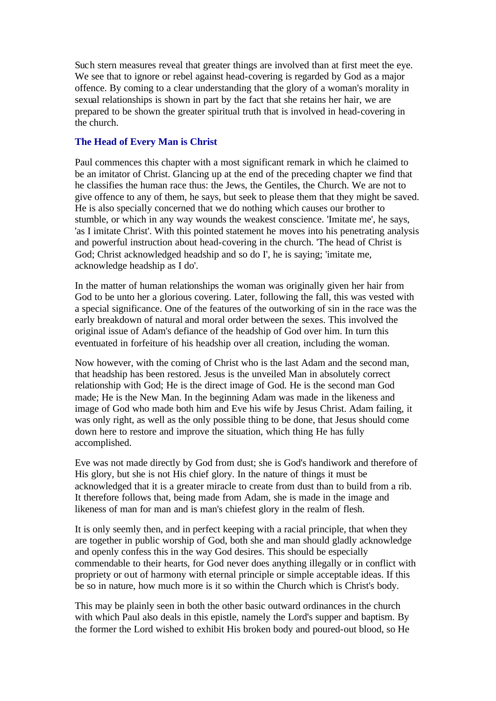Such stern measures reveal that greater things are involved than at first meet the eye. We see that to ignore or rebel against head-covering is regarded by God as a major offence. By coming to a clear understanding that the glory of a woman's morality in sexual relationships is shown in part by the fact that she retains her hair, we are prepared to be shown the greater spiritual truth that is involved in head-covering in the church.

# **The Head of Every Man is Christ**

Paul commences this chapter with a most significant remark in which he claimed to be an imitator of Christ. Glancing up at the end of the preceding chapter we find that he classifies the human race thus: the Jews, the Gentiles, the Church. We are not to give offence to any of them, he says, but seek to please them that they might be saved. He is also specially concerned that we do nothing which causes our brother to stumble, or which in any way wounds the weakest conscience. 'Imitate me', he says, 'as I imitate Christ'. With this pointed statement he moves into his penetrating analysis and powerful instruction about head-covering in the church. 'The head of Christ is God; Christ acknowledged headship and so do I', he is saying; 'imitate me, acknowledge headship as I do'.

In the matter of human relationships the woman was originally given her hair from God to be unto her a glorious covering. Later, following the fall, this was vested with a special significance. One of the features of the outworking of sin in the race was the early breakdown of natural and moral order between the sexes. This involved the original issue of Adam's defiance of the headship of God over him. In turn this eventuated in forfeiture of his headship over all creation, including the woman.

Now however, with the coming of Christ who is the last Adam and the second man, that headship has been restored. Jesus is the unveiled Man in absolutely correct relationship with God; He is the direct image of God. He is the second man God made; He is the New Man. In the beginning Adam was made in the likeness and image of God who made both him and Eve his wife by Jesus Christ. Adam failing, it was only right, as well as the only possible thing to be done, that Jesus should come down here to restore and improve the situation, which thing He has fully accomplished.

Eve was not made directly by God from dust; she is God's handiwork and therefore of His glory, but she is not His chief glory. In the nature of things it must be acknowledged that it is a greater miracle to create from dust than to build from a rib. It therefore follows that, being made from Adam, she is made in the image and likeness of man for man and is man's chiefest glory in the realm of flesh.

It is only seemly then, and in perfect keeping with a racial principle, that when they are together in public worship of God, both she and man should gladly acknowledge and openly confess this in the way God desires. This should be especially commendable to their hearts, for God never does anything illegally or in conflict with propriety or out of harmony with eternal principle or simple acceptable ideas. If this be so in nature, how much more is it so within the Church which is Christ's body.

This may be plainly seen in both the other basic outward ordinances in the church with which Paul also deals in this epistle, namely the Lord's supper and baptism. By the former the Lord wished to exhibit His broken body and poured-out blood, so He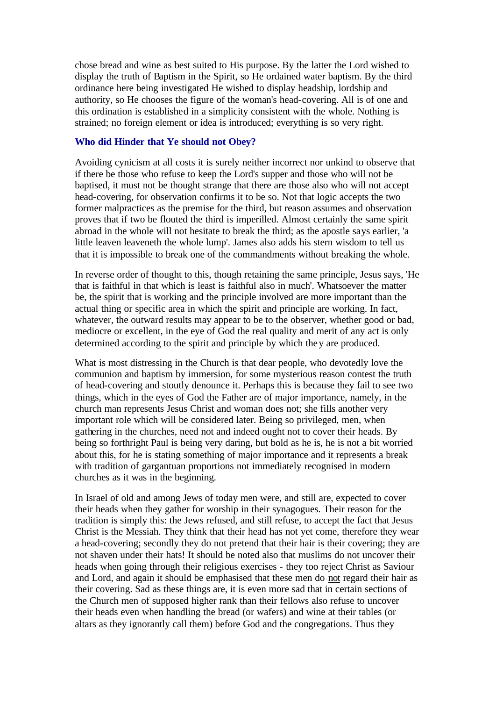chose bread and wine as best suited to His purpose. By the latter the Lord wished to display the truth of Baptism in the Spirit, so He ordained water baptism. By the third ordinance here being investigated He wished to display headship, lordship and authority, so He chooses the figure of the woman's head-covering. All is of one and this ordination is established in a simplicity consistent with the whole. Nothing is strained; no foreign element or idea is introduced; everything is so very right.

# **Who did Hinder that Ye should not Obey?**

Avoiding cynicism at all costs it is surely neither incorrect nor unkind to observe that if there be those who refuse to keep the Lord's supper and those who will not be baptised, it must not be thought strange that there are those also who will not accept head-covering, for observation confirms it to be so. Not that logic accepts the two former malpractices as the premise for the third, but reason assumes and observation proves that if two be flouted the third is imperilled. Almost certainly the same spirit abroad in the whole will not hesitate to break the third; as the apostle says earlier, 'a little leaven leaveneth the whole lump'. James also adds his stern wisdom to tell us that it is impossible to break one of the commandments without breaking the whole.

In reverse order of thought to this, though retaining the same principle, Jesus says, 'He that is faithful in that which is least is faithful also in much'. Whatsoever the matter be, the spirit that is working and the principle involved are more important than the actual thing or specific area in which the spirit and principle are working. In fact, whatever, the outward results may appear to be to the observer, whether good or bad, mediocre or excellent, in the eye of God the real quality and merit of any act is only determined according to the spirit and principle by which they are produced.

What is most distressing in the Church is that dear people, who devotedly love the communion and baptism by immersion, for some mysterious reason contest the truth of head-covering and stoutly denounce it. Perhaps this is because they fail to see two things, which in the eyes of God the Father are of major importance, namely, in the church man represents Jesus Christ and woman does not; she fills another very important role which will be considered later. Being so privileged, men, when gathering in the churches, need not and indeed ought not to cover their heads. By being so forthright Paul is being very daring, but bold as he is, he is not a bit worried about this, for he is stating something of major importance and it represents a break with tradition of gargantuan proportions not immediately recognised in modern churches as it was in the beginning.

In Israel of old and among Jews of today men were, and still are, expected to cover their heads when they gather for worship in their synagogues. Their reason for the tradition is simply this: the Jews refused, and still refuse, to accept the fact that Jesus Christ is the Messiah. They think that their head has not yet come, therefore they wear a head-covering; secondly they do not pretend that their hair is their covering; they are not shaven under their hats! It should be noted also that muslims do not uncover their heads when going through their religious exercises - they too reject Christ as Saviour and Lord, and again it should be emphasised that these men do not regard their hair as their covering. Sad as these things are, it is even more sad that in certain sections of the Church men of supposed higher rank than their fellows also refuse to uncover their heads even when handling the bread (or wafers) and wine at their tables (or altars as they ignorantly call them) before God and the congregations. Thus they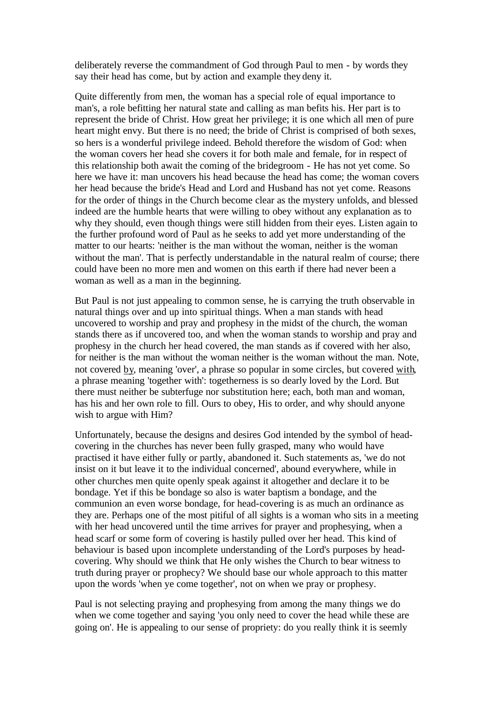deliberately reverse the commandment of God through Paul to men - by words they say their head has come, but by action and example they deny it.

Quite differently from men, the woman has a special role of equal importance to man's, a role befitting her natural state and calling as man befits his. Her part is to represent the bride of Christ. How great her privilege; it is one which all men of pure heart might envy. But there is no need; the bride of Christ is comprised of both sexes, so hers is a wonderful privilege indeed. Behold therefore the wisdom of God: when the woman covers her head she covers it for both male and female, for in respect of this relationship both await the coming of the bridegroom - He has not yet come. So here we have it: man uncovers his head because the head has come; the woman covers her head because the bride's Head and Lord and Husband has not yet come. Reasons for the order of things in the Church become clear as the mystery unfolds, and blessed indeed are the humble hearts that were willing to obey without any explanation as to why they should, even though things were still hidden from their eyes. Listen again to the further profound word of Paul as he seeks to add yet more understanding of the matter to our hearts: 'neither is the man without the woman, neither is the woman without the man'. That is perfectly understandable in the natural realm of course; there could have been no more men and women on this earth if there had never been a woman as well as a man in the beginning.

But Paul is not just appealing to common sense, he is carrying the truth observable in natural things over and up into spiritual things. When a man stands with head uncovered to worship and pray and prophesy in the midst of the church, the woman stands there as if uncovered too, and when the woman stands to worship and pray and prophesy in the church her head covered, the man stands as if covered with her also, for neither is the man without the woman neither is the woman without the man. Note, not covered by, meaning 'over', a phrase so popular in some circles, but covered with, a phrase meaning 'together with': togetherness is so dearly loved by the Lord. But there must neither be subterfuge nor substitution here; each, both man and woman, has his and her own role to fill. Ours to obey, His to order, and why should anyone wish to argue with Him?

Unfortunately, because the designs and desires God intended by the symbol of headcovering in the churches has never been fully grasped, many who would have practised it have either fully or partly, abandoned it. Such statements as, 'we do not insist on it but leave it to the individual concerned', abound everywhere, while in other churches men quite openly speak against it altogether and declare it to be bondage. Yet if this be bondage so also is water baptism a bondage, and the communion an even worse bondage, for head-covering is as much an ordinance as they are. Perhaps one of the most pitiful of all sights is a woman who sits in a meeting with her head uncovered until the time arrives for prayer and prophesying, when a head scarf or some form of covering is hastily pulled over her head. This kind of behaviour is based upon incomplete understanding of the Lord's purposes by headcovering. Why should we think that He only wishes the Church to bear witness to truth during prayer or prophecy? We should base our whole approach to this matter upon the words 'when ye come together', not on when we pray or prophesy.

Paul is not selecting praying and prophesying from among the many things we do when we come together and saying 'you only need to cover the head while these are going on'. He is appealing to our sense of propriety: do you really think it is seemly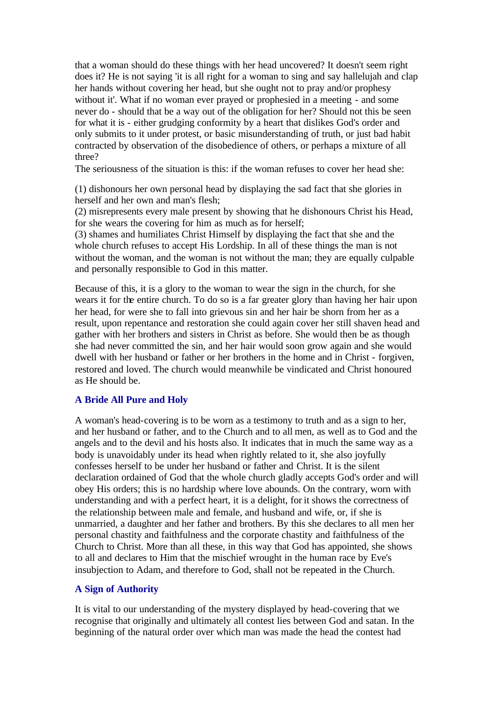that a woman should do these things with her head uncovered? It doesn't seem right does it? He is not saying 'it is all right for a woman to sing and say hallelujah and clap her hands without covering her head, but she ought not to pray and/or prophesy without it'. What if no woman ever prayed or prophesied in a meeting - and some never do - should that be a way out of the obligation for her? Should not this be seen for what it is - either grudging conformity by a heart that dislikes God's order and only submits to it under protest, or basic misunderstanding of truth, or just bad habit contracted by observation of the disobedience of others, or perhaps a mixture of all three?

The seriousness of the situation is this: if the woman refuses to cover her head she:

(1) dishonours her own personal head by displaying the sad fact that she glories in herself and her own and man's flesh;

(2) misrepresents every male present by showing that he dishonours Christ his Head, for she wears the covering for him as much as for herself;

(3) shames and humiliates Christ Himself by displaying the fact that she and the whole church refuses to accept His Lordship. In all of these things the man is not without the woman, and the woman is not without the man; they are equally culpable and personally responsible to God in this matter.

Because of this, it is a glory to the woman to wear the sign in the church, for she wears it for the entire church. To do so is a far greater glory than having her hair upon her head, for were she to fall into grievous sin and her hair be shorn from her as a result, upon repentance and restoration she could again cover her still shaven head and gather with her brothers and sisters in Christ as before. She would then be as though she had never committed the sin, and her hair would soon grow again and she would dwell with her husband or father or her brothers in the home and in Christ - forgiven, restored and loved. The church would meanwhile be vindicated and Christ honoured as He should be.

# **A Bride All Pure and Holy**

A woman's head-covering is to be worn as a testimony to truth and as a sign to her, and her husband or father, and to the Church and to all men, as well as to God and the angels and to the devil and his hosts also. It indicates that in much the same way as a body is unavoidably under its head when rightly related to it, she also joyfully confesses herself to be under her husband or father and Christ. It is the silent declaration ordained of God that the whole church gladly accepts God's order and will obey His orders; this is no hardship where love abounds. On the contrary, worn with understanding and with a perfect heart, it is a delight, for it shows the correctness of the relationship between male and female, and husband and wife, or, if she is unmarried, a daughter and her father and brothers. By this she declares to all men her personal chastity and faithfulness and the corporate chastity and faithfulness of the Church to Christ. More than all these, in this way that God has appointed, she shows to all and declares to Him that the mischief wrought in the human race by Eve's insubjection to Adam, and therefore to God, shall not be repeated in the Church.

#### **A Sign of Authority**

It is vital to our understanding of the mystery displayed by head-covering that we recognise that originally and ultimately all contest lies between God and satan. In the beginning of the natural order over which man was made the head the contest had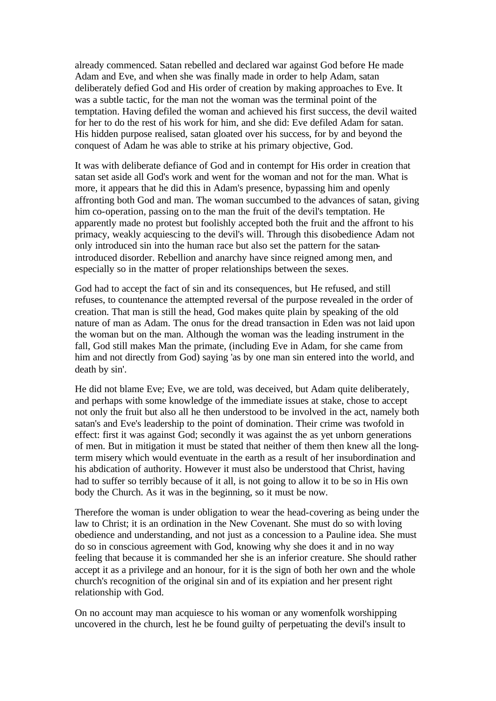already commenced. Satan rebelled and declared war against God before He made Adam and Eve, and when she was finally made in order to help Adam, satan deliberately defied God and His order of creation by making approaches to Eve. It was a subtle tactic, for the man not the woman was the terminal point of the temptation. Having defiled the woman and achieved his first success, the devil waited for her to do the rest of his work for him, and she did: Eve defiled Adam for satan. His hidden purpose realised, satan gloated over his success, for by and beyond the conquest of Adam he was able to strike at his primary objective, God.

It was with deliberate defiance of God and in contempt for His order in creation that satan set aside all God's work and went for the woman and not for the man. What is more, it appears that he did this in Adam's presence, bypassing him and openly affronting both God and man. The woman succumbed to the advances of satan, giving him co-operation, passing on to the man the fruit of the devil's temptation. He apparently made no protest but foolishly accepted both the fruit and the affront to his primacy, weakly acquiescing to the devil's will. Through this disobedience Adam not only introduced sin into the human race but also set the pattern for the satanintroduced disorder. Rebellion and anarchy have since reigned among men, and especially so in the matter of proper relationships between the sexes.

God had to accept the fact of sin and its consequences, but He refused, and still refuses, to countenance the attempted reversal of the purpose revealed in the order of creation. That man is still the head, God makes quite plain by speaking of the old nature of man as Adam. The onus for the dread transaction in Eden was not laid upon the woman but on the man. Although the woman was the leading instrument in the fall, God still makes Man the primate, (including Eve in Adam, for she came from him and not directly from God) saying 'as by one man sin entered into the world, and death by sin'.

He did not blame Eve; Eve, we are told, was deceived, but Adam quite deliberately, and perhaps with some knowledge of the immediate issues at stake, chose to accept not only the fruit but also all he then understood to be involved in the act, namely both satan's and Eve's leadership to the point of domination. Their crime was twofold in effect: first it was against God; secondly it was against the as yet unborn generations of men. But in mitigation it must be stated that neither of them then knew all the longterm misery which would eventuate in the earth as a result of her insubordination and his abdication of authority. However it must also be understood that Christ, having had to suffer so terribly because of it all, is not going to allow it to be so in His own body the Church. As it was in the beginning, so it must be now.

Therefore the woman is under obligation to wear the head-covering as being under the law to Christ; it is an ordination in the New Covenant. She must do so with loving obedience and understanding, and not just as a concession to a Pauline idea. She must do so in conscious agreement with God, knowing why she does it and in no way feeling that because it is commanded her she is an inferior creature. She should rather accept it as a privilege and an honour, for it is the sign of both her own and the whole church's recognition of the original sin and of its expiation and her present right relationship with God.

On no account may man acquiesce to his woman or any womenfolk worshipping uncovered in the church, lest he be found guilty of perpetuating the devil's insult to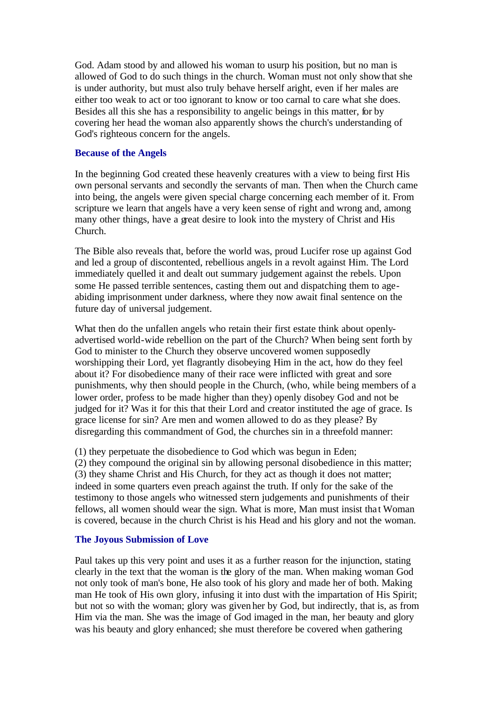God. Adam stood by and allowed his woman to usurp his position, but no man is allowed of God to do such things in the church. Woman must not only show that she is under authority, but must also truly behave herself aright, even if her males are either too weak to act or too ignorant to know or too carnal to care what she does. Besides all this she has a responsibility to angelic beings in this matter, for by covering her head the woman also apparently shows the church's understanding of God's righteous concern for the angels.

#### **Because of the Angels**

In the beginning God created these heavenly creatures with a view to being first His own personal servants and secondly the servants of man. Then when the Church came into being, the angels were given special charge concerning each member of it. From scripture we learn that angels have a very keen sense of right and wrong and, among many other things, have a great desire to look into the mystery of Christ and His Church.

The Bible also reveals that, before the world was, proud Lucifer rose up against God and led a group of discontented, rebellious angels in a revolt against Him. The Lord immediately quelled it and dealt out summary judgement against the rebels. Upon some He passed terrible sentences, casting them out and dispatching them to ageabiding imprisonment under darkness, where they now await final sentence on the future day of universal judgement.

What then do the unfallen angels who retain their first estate think about openlyadvertised world-wide rebellion on the part of the Church? When being sent forth by God to minister to the Church they observe uncovered women supposedly worshipping their Lord, yet flagrantly disobeying Him in the act, how do they feel about it? For disobedience many of their race were inflicted with great and sore punishments, why then should people in the Church, (who, while being members of a lower order, profess to be made higher than they) openly disobey God and not be judged for it? Was it for this that their Lord and creator instituted the age of grace. Is grace license for sin? Are men and women allowed to do as they please? By disregarding this commandment of God, the churches sin in a threefold manner:

(1) they perpetuate the disobedience to God which was begun in Eden;

(2) they compound the original sin by allowing personal disobedience in this matter; (3) they shame Christ and His Church, for they act as though it does not matter; indeed in some quarters even preach against the truth. If only for the sake of the testimony to those angels who witnessed stern judgements and punishments of their fellows, all women should wear the sign. What is more, Man must insist tha t Woman is covered, because in the church Christ is his Head and his glory and not the woman.

# **The Joyous Submission of Love**

Paul takes up this very point and uses it as a further reason for the injunction, stating clearly in the text that the woman is the glory of the man. When making woman God not only took of man's bone, He also took of his glory and made her of both. Making man He took of His own glory, infusing it into dust with the impartation of His Spirit; but not so with the woman; glory was given her by God, but indirectly, that is, as from Him via the man. She was the image of God imaged in the man, her beauty and glory was his beauty and glory enhanced; she must therefore be covered when gathering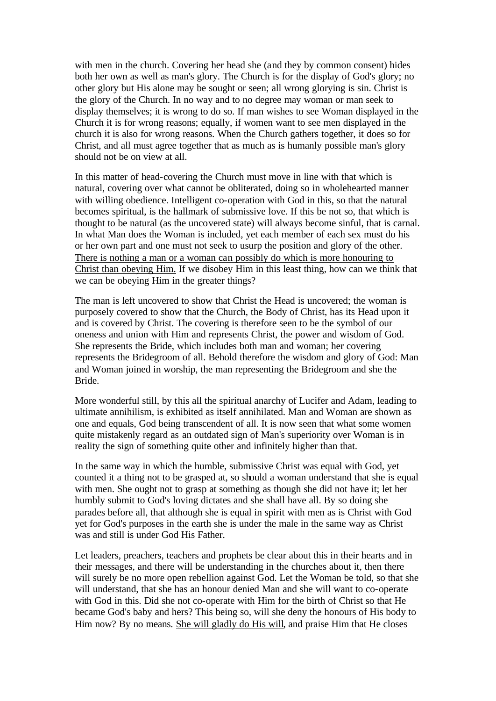with men in the church. Covering her head she (and they by common consent) hides both her own as well as man's glory. The Church is for the display of God's glory; no other glory but His alone may be sought or seen; all wrong glorying is sin. Christ is the glory of the Church. In no way and to no degree may woman or man seek to display themselves; it is wrong to do so. If man wishes to see Woman displayed in the Church it is for wrong reasons; equally, if women want to see men displayed in the church it is also for wrong reasons. When the Church gathers together, it does so for Christ, and all must agree together that as much as is humanly possible man's glory should not be on view at all.

In this matter of head-covering the Church must move in line with that which is natural, covering over what cannot be obliterated, doing so in wholehearted manner with willing obedience. Intelligent co-operation with God in this, so that the natural becomes spiritual, is the hallmark of submissive love. If this be not so, that which is thought to be natural (as the uncovered state) will always become sinful, that is carnal. In what Man does the Woman is included, yet each member of each sex must do his or her own part and one must not seek to usurp the position and glory of the other. There is nothing a man or a woman can possibly do which is more honouring to Christ than obeying Him. If we disobey Him in this least thing, how can we think that we can be obeying Him in the greater things?

The man is left uncovered to show that Christ the Head is uncovered; the woman is purposely covered to show that the Church, the Body of Christ, has its Head upon it and is covered by Christ. The covering is therefore seen to be the symbol of our oneness and union with Him and represents Christ, the power and wisdom of God. She represents the Bride, which includes both man and woman; her covering represents the Bridegroom of all. Behold therefore the wisdom and glory of God: Man and Woman joined in worship, the man representing the Bridegroom and she the Bride.

More wonderful still, by this all the spiritual anarchy of Lucifer and Adam, leading to ultimate annihilism, is exhibited as itself annihilated. Man and Woman are shown as one and equals, God being transcendent of all. It is now seen that what some women quite mistakenly regard as an outdated sign of Man's superiority over Woman is in reality the sign of something quite other and infinitely higher than that.

In the same way in which the humble, submissive Christ was equal with God, yet counted it a thing not to be grasped at, so should a woman understand that she is equal with men. She ought not to grasp at something as though she did not have it; let her humbly submit to God's loving dictates and she shall have all. By so doing she parades before all, that although she is equal in spirit with men as is Christ with God yet for God's purposes in the earth she is under the male in the same way as Christ was and still is under God His Father.

Let leaders, preachers, teachers and prophets be clear about this in their hearts and in their messages, and there will be understanding in the churches about it, then there will surely be no more open rebellion against God. Let the Woman be told, so that she will understand, that she has an honour denied Man and she will want to co-operate with God in this. Did she not co-operate with Him for the birth of Christ so that He became God's baby and hers? This being so, will she deny the honours of His body to Him now? By no means. She will gladly do His will, and praise Him that He closes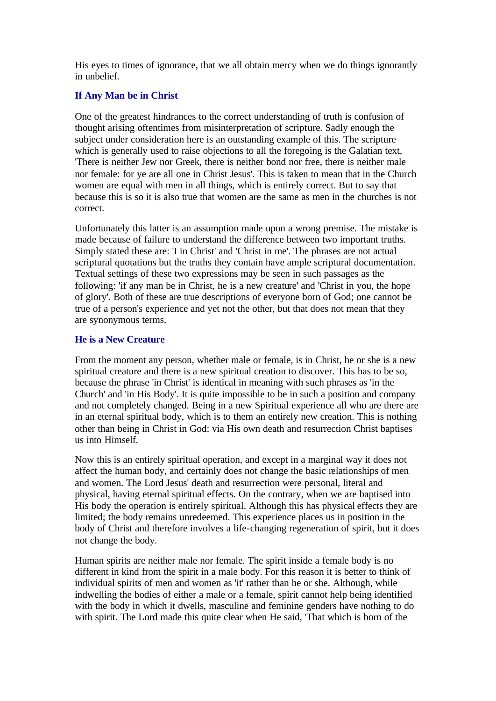His eyes to times of ignorance, that we all obtain mercy when we do things ignorantly in unbelief.

# **If Any Man be in Christ**

One of the greatest hindrances to the correct understanding of truth is confusion of thought arising oftentimes from misinterpretation of scripture. Sadly enough the subject under consideration here is an outstanding example of this. The scripture which is generally used to raise objections to all the foregoing is the Galatian text, 'There is neither Jew nor Greek, there is neither bond nor free, there is neither male nor female: for ye are all one in Christ Jesus'. This is taken to mean that in the Church women are equal with men in all things, which is entirely correct. But to say that because this is so it is also true that women are the same as men in the churches is not correct.

Unfortunately this latter is an assumption made upon a wrong premise. The mistake is made because of failure to understand the difference between two important truths. Simply stated these are: 'I in Christ' and 'Christ in me'. The phrases are not actual scriptural quotations but the truths they contain have ample scriptural documentation. Textual settings of these two expressions may be seen in such passages as the following: 'if any man be in Christ, he is a new creature' and 'Christ in you, the hope of glory'. Both of these are true descriptions of everyone born of God; one cannot be true of a person's experience and yet not the other, but that does not mean that they are synonymous terms.

# **He is a New Creature**

From the moment any person, whether male or female, is in Christ, he or she is a new spiritual creature and there is a new spiritual creation to discover. This has to be so, because the phrase 'in Christ' is identical in meaning with such phrases as 'in the Church' and 'in His Body'. It is quite impossible to be in such a position and company and not completely changed. Being in a new Spiritual experience all who are there are in an eternal spiritual body, which is to them an entirely new creation. This is nothing other than being in Christ in God: via His own death and resurrection Christ baptises us into Himself.

Now this is an entirely spiritual operation, and except in a marginal way it does not affect the human body, and certainly does not change the basic relationships of men and women. The Lord Jesus' death and resurrection were personal, literal and physical, having eternal spiritual effects. On the contrary, when we are baptised into His body the operation is entirely spiritual. Although this has physical effects they are limited; the body remains unredeemed. This experience places us in position in the body of Christ and therefore involves a life-changing regeneration of spirit, but it does not change the body.

Human spirits are neither male nor female. The spirit inside a female body is no different in kind from the spirit in a male body. For this reason it is better to think of individual spirits of men and women as 'it' rather than he or she. Although, while indwelling the bodies of either a male or a female, spirit cannot help being identified with the body in which it dwells, masculine and feminine genders have nothing to do with spirit. The Lord made this quite clear when He said, 'That which is born of the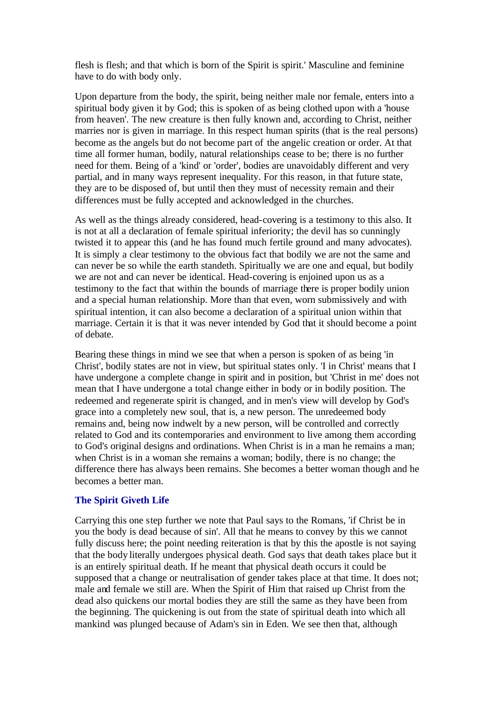flesh is flesh; and that which is born of the Spirit is spirit.' Masculine and feminine have to do with body only.

Upon departure from the body, the spirit, being neither male nor female, enters into a spiritual body given it by God; this is spoken of as being clothed upon with a 'house from heaven'. The new creature is then fully known and, according to Christ, neither marries nor is given in marriage. In this respect human spirits (that is the real persons) become as the angels but do not become part of the angelic creation or order. At that time all former human, bodily, natural relationships cease to be; there is no further need for them. Being of a 'kind' or 'order', bodies are unavoidably different and very partial, and in many ways represent inequality. For this reason, in that future state, they are to be disposed of, but until then they must of necessity remain and their differences must be fully accepted and acknowledged in the churches.

As well as the things already considered, head-covering is a testimony to this also. It is not at all a declaration of female spiritual inferiority; the devil has so cunningly twisted it to appear this (and he has found much fertile ground and many advocates). It is simply a clear testimony to the obvious fact that bodily we are not the same and can never be so while the earth standeth. Spiritually we are one and equal, but bodily we are not and can never be identical. Head-covering is enjoined upon us as a testimony to the fact that within the bounds of marriage there is proper bodily union and a special human relationship. More than that even, worn submissively and with spiritual intention, it can also become a declaration of a spiritual union within that marriage. Certain it is that it was never intended by God that it should become a point of debate.

Bearing these things in mind we see that when a person is spoken of as being 'in Christ', bodily states are not in view, but spiritual states only. 'I in Christ' means that I have undergone a complete change in spirit and in position, but 'Christ in me' does not mean that I have undergone a total change either in body or in bodily position. The redeemed and regenerate spirit is changed, and in men's view will develop by God's grace into a completely new soul, that is, a new person. The unredeemed body remains and, being now indwelt by a new person, will be controlled and correctly related to God and its contemporaries and environment to live among them according to God's original designs and ordinations. When Christ is in a man he remains a man; when Christ is in a woman she remains a woman; bodily, there is no change; the difference there has always been remains. She becomes a better woman though and he becomes a better man.

#### **The Spirit Giveth Life**

Carrying this one step further we note that Paul says to the Romans, 'if Christ be in you the body is dead because of sin'. All that he means to convey by this we cannot fully discuss here; the point needing reiteration is that by this the apostle is not saying that the body literally undergoes physical death. God says that death takes place but it is an entirely spiritual death. If he meant that physical death occurs it could be supposed that a change or neutralisation of gender takes place at that time. It does not; male and female we still are. When the Spirit of Him that raised up Christ from the dead also quickens our mortal bodies they are still the same as they have been from the beginning. The quickening is out from the state of spiritual death into which all mankind was plunged because of Adam's sin in Eden. We see then that, although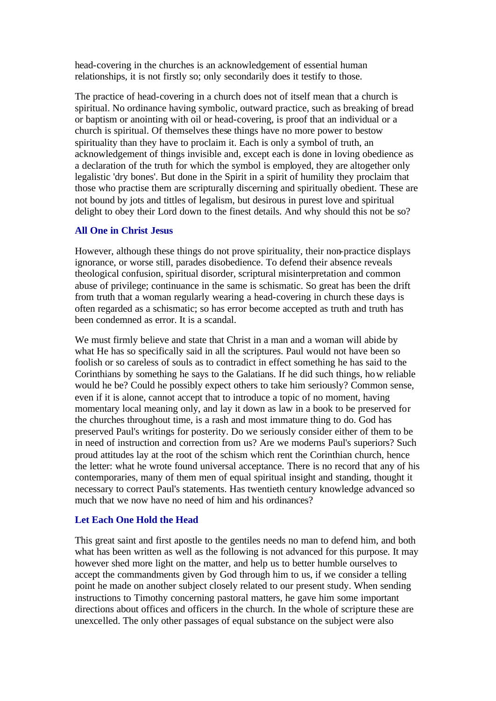head-covering in the churches is an acknowledgement of essential human relationships, it is not firstly so; only secondarily does it testify to those.

The practice of head-covering in a church does not of itself mean that a church is spiritual. No ordinance having symbolic, outward practice, such as breaking of bread or baptism or anointing with oil or head-covering, is proof that an individual or a church is spiritual. Of themselves these things have no more power to bestow spirituality than they have to proclaim it. Each is only a symbol of truth, an acknowledgement of things invisible and, except each is done in loving obedience as a declaration of the truth for which the symbol is employed, they are altogether only legalistic 'dry bones'. But done in the Spirit in a spirit of humility they proclaim that those who practise them are scripturally discerning and spiritually obedient. These are not bound by jots and tittles of legalism, but desirous in purest love and spiritual delight to obey their Lord down to the finest details. And why should this not be so?

# **All One in Christ Jesus**

However, although these things do not prove spirituality, their non-practice displays ignorance, or worse still, parades disobedience. To defend their absence reveals theological confusion, spiritual disorder, scriptural misinterpretation and common abuse of privilege; continuance in the same is schismatic. So great has been the drift from truth that a woman regularly wearing a head-covering in church these days is often regarded as a schismatic; so has error become accepted as truth and truth has been condemned as error. It is a scandal.

We must firmly believe and state that Christ in a man and a woman will abide by what He has so specifically said in all the scriptures. Paul would not have been so foolish or so careless of souls as to contradict in effect something he has said to the Corinthians by something he says to the Galatians. If he did such things, how reliable would he be? Could he possibly expect others to take him seriously? Common sense, even if it is alone, cannot accept that to introduce a topic of no moment, having momentary local meaning only, and lay it down as law in a book to be preserved for the churches throughout time, is a rash and most immature thing to do. God has preserved Paul's writings for posterity. Do we seriously consider either of them to be in need of instruction and correction from us? Are we moderns Paul's superiors? Such proud attitudes lay at the root of the schism which rent the Corinthian church, hence the letter: what he wrote found universal acceptance. There is no record that any of his contemporaries, many of them men of equal spiritual insight and standing, thought it necessary to correct Paul's statements. Has twentieth century knowledge advanced so much that we now have no need of him and his ordinances?

#### **Let Each One Hold the Head**

This great saint and first apostle to the gentiles needs no man to defend him, and both what has been written as well as the following is not advanced for this purpose. It may however shed more light on the matter, and help us to better humble ourselves to accept the commandments given by God through him to us, if we consider a telling point he made on another subject closely related to our present study. When sending instructions to Timothy concerning pastoral matters, he gave him some important directions about offices and officers in the church. In the whole of scripture these are unexcelled. The only other passages of equal substance on the subject were also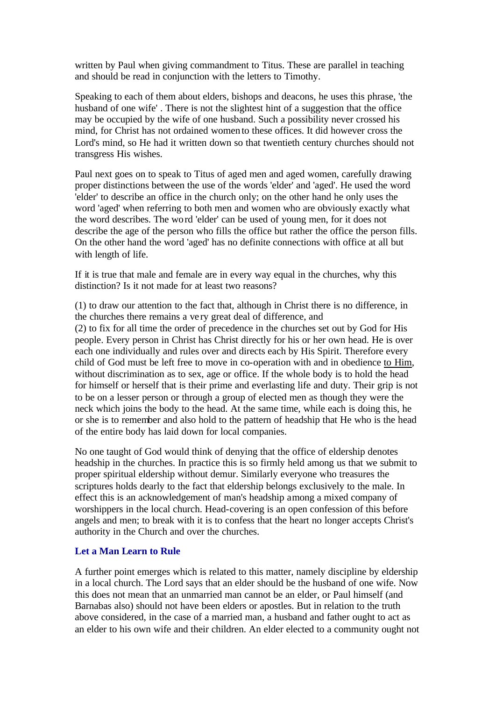written by Paul when giving commandment to Titus. These are parallel in teaching and should be read in conjunction with the letters to Timothy.

Speaking to each of them about elders, bishops and deacons, he uses this phrase, 'the husband of one wife' . There is not the slightest hint of a suggestion that the office may be occupied by the wife of one husband. Such a possibility never crossed his mind, for Christ has not ordained women to these offices. It did however cross the Lord's mind, so He had it written down so that twentieth century churches should not transgress His wishes.

Paul next goes on to speak to Titus of aged men and aged women, carefully drawing proper distinctions between the use of the words 'elder' and 'aged'. He used the word 'elder' to describe an office in the church only; on the other hand he only uses the word 'aged' when referring to both men and women who are obviously exactly what the word describes. The word 'elder' can be used of young men, for it does not describe the age of the person who fills the office but rather the office the person fills. On the other hand the word 'aged' has no definite connections with office at all but with length of life.

If it is true that male and female are in every way equal in the churches, why this distinction? Is it not made for at least two reasons?

(1) to draw our attention to the fact that, although in Christ there is no difference, in the churches there remains a ve ry great deal of difference, and (2) to fix for all time the order of precedence in the churches set out by God for His people. Every person in Christ has Christ directly for his or her own head. He is over each one individually and rules over and directs each by His Spirit. Therefore every child of God must be left free to move in co-operation with and in obedience to Him, without discrimination as to sex, age or office. If the whole body is to hold the head for himself or herself that is their prime and everlasting life and duty. Their grip is not to be on a lesser person or through a group of elected men as though they were the neck which joins the body to the head. At the same time, while each is doing this, he or she is to remember and also hold to the pattern of headship that He who is the head of the entire body has laid down for local companies.

No one taught of God would think of denying that the office of eldership denotes headship in the churches. In practice this is so firmly held among us that we submit to proper spiritual eldership without demur. Similarly everyone who treasures the scriptures holds dearly to the fact that eldership belongs exclusively to the male. In effect this is an acknowledgement of man's headship among a mixed company of worshippers in the local church. Head-covering is an open confession of this before angels and men; to break with it is to confess that the heart no longer accepts Christ's authority in the Church and over the churches.

#### **Let a Man Learn to Rule**

A further point emerges which is related to this matter, namely discipline by eldership in a local church. The Lord says that an elder should be the husband of one wife. Now this does not mean that an unmarried man cannot be an elder, or Paul himself (and Barnabas also) should not have been elders or apostles. But in relation to the truth above considered, in the case of a married man, a husband and father ought to act as an elder to his own wife and their children. An elder elected to a community ought not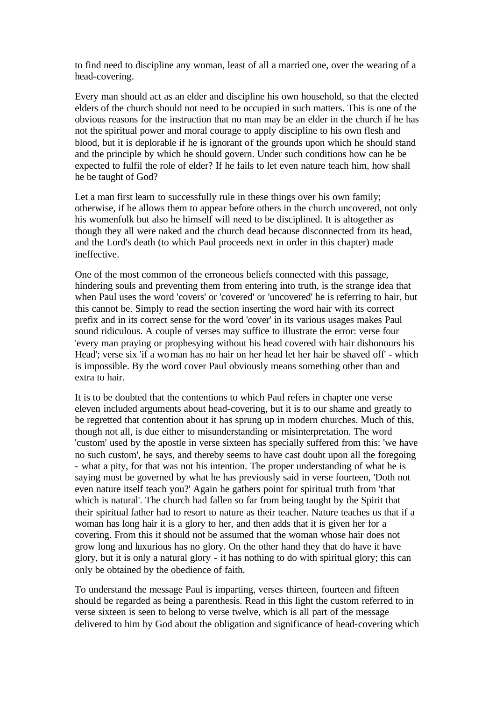to find need to discipline any woman, least of all a married one, over the wearing of a head-covering.

Every man should act as an elder and discipline his own household, so that the elected elders of the church should not need to be occupied in such matters. This is one of the obvious reasons for the instruction that no man may be an elder in the church if he has not the spiritual power and moral courage to apply discipline to his own flesh and blood, but it is deplorable if he is ignorant of the grounds upon which he should stand and the principle by which he should govern. Under such conditions how can he be expected to fulfil the role of elder? If he fails to let even nature teach him, how shall he be taught of God?

Let a man first learn to successfully rule in these things over his own family; otherwise, if he allows them to appear before others in the church uncovered, not only his womenfolk but also he himself will need to be disciplined. It is altogether as though they all were naked and the church dead because disconnected from its head, and the Lord's death (to which Paul proceeds next in order in this chapter) made ineffective.

One of the most common of the erroneous beliefs connected with this passage, hindering souls and preventing them from entering into truth, is the strange idea that when Paul uses the word 'covers' or 'covered' or 'uncovered' he is referring to hair, but this cannot be. Simply to read the section inserting the word hair with its correct prefix and in its correct sense for the word 'cover' in its various usages makes Paul sound ridiculous. A couple of verses may suffice to illustrate the error: verse four 'every man praying or prophesying without his head covered with hair dishonours his Head'; verse six 'if a woman has no hair on her head let her hair be shaved off' - which is impossible. By the word cover Paul obviously means something other than and extra to hair.

It is to be doubted that the contentions to which Paul refers in chapter one verse eleven included arguments about head-covering, but it is to our shame and greatly to be regretted that contention about it has sprung up in modern churches. Much of this, though not all, is due either to misunderstanding or misinterpretation. The word 'custom' used by the apostle in verse sixteen has specially suffered from this: 'we have no such custom', he says, and thereby seems to have cast doubt upon all the foregoing - what a pity, for that was not his intention. The proper understanding of what he is saying must be governed by what he has previously said in verse fourteen, 'Doth not even nature itself teach you?' Again he gathers point for spiritual truth from 'that which is natural'. The church had fallen so far from being taught by the Spirit that their spiritual father had to resort to nature as their teacher. Nature teaches us that if a woman has long hair it is a glory to her, and then adds that it is given her for a covering. From this it should not be assumed that the woman whose hair does not grow long and luxurious has no glory. On the other hand they that do have it have glory, but it is only a natural glory - it has nothing to do with spiritual glory; this can only be obtained by the obedience of faith.

To understand the message Paul is imparting, verses thirteen, fourteen and fifteen should be regarded as being a parenthesis. Read in this light the custom referred to in verse sixteen is seen to belong to verse twelve, which is all part of the message delivered to him by God about the obligation and significance of head-covering which